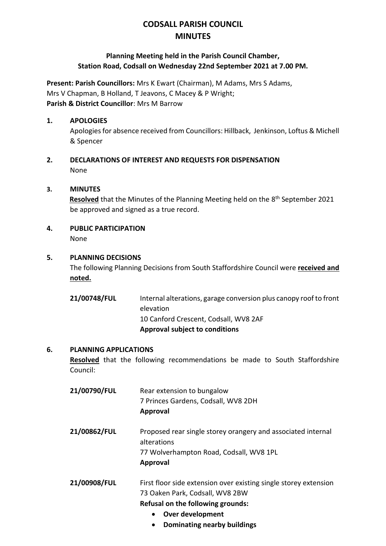# **CODSALL PARISH COUNCIL MINUTES**

# **Planning Meeting held in the Parish Council Chamber, Station Road, Codsall on Wednesday 22nd September 2021 at 7.00 PM.**

**Present: Parish Councillors:** Mrs K Ewart (Chairman), M Adams, Mrs S Adams, Mrs V Chapman, B Holland, T Jeavons, C Macey & P Wright; **Parish & District Councillor**: Mrs M Barrow

## **1. APOLOGIES**

Apologies for absence received from Councillors: Hillback, Jenkinson, Loftus & Michell & Spencer

**2. DECLARATIONS OF INTEREST AND REQUESTS FOR DISPENSATION** None

## **3. MINUTES**

Resolved that the Minutes of the Planning Meeting held on the 8<sup>th</sup> September 2021 be approved and signed as a true record.

**4. PUBLIC PARTICIPATION**

None

## **5. PLANNING DECISIONS**

The following Planning Decisions from South Staffordshire Council were **received and noted.**

| 10 Canford Crescent, Codsall, WV8 2AF |
|---------------------------------------|
| <b>Approval subject to conditions</b> |

#### **6. PLANNING APPLICATIONS**

**Resolved** that the following recommendations be made to South Staffordshire Council:

| 21/00790/FUL | Rear extension to bungalow                                                  |
|--------------|-----------------------------------------------------------------------------|
|              | 7 Princes Gardens, Codsall, WV8 2DH                                         |
|              | <b>Approval</b>                                                             |
| 21/00862/FUL | Proposed rear single storey orangery and associated internal<br>alterations |
|              | 77 Wolverhampton Road, Codsall, WV8 1PL                                     |
|              | <b>Approval</b>                                                             |
| 21/00908/FUL | First floor side extension over existing single storey extension            |
|              | 73 Oaken Park, Codsall, WV8 2BW                                             |
|              | Refusal on the following grounds:                                           |
|              | Over development<br>$\bullet$                                               |
|              | Dominating nearby buildings                                                 |